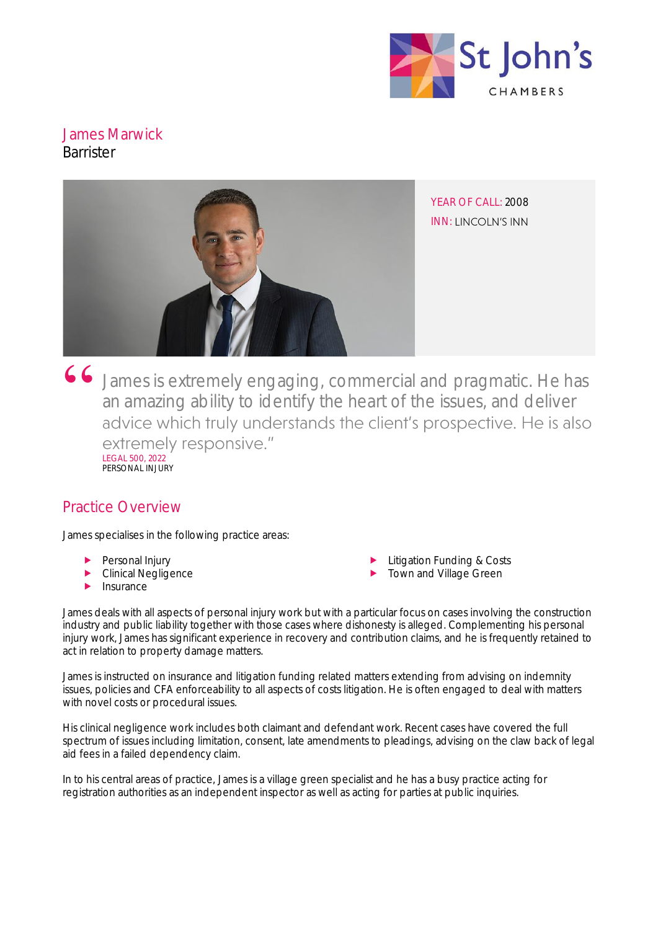

# James Marwick **Barrister**



James is extremely engaging, commercial and pragmatic. He has an amazing ability to identify the heart of the issues, and deliver advice which truly understands the client's prospective. He is also extremely responsive." LEGAL 500, 2022 PERSONAL INJURY

# Practice Overview

James specialises in the following practice areas:

- Personal Injury
- Clinical Negligence
- Insurance
- Litigation Funding & Costs
- Town and Village Green

James deals with all aspects of personal injury work but with a particular focus on cases involving the construction industry and public liability together with those cases where dishonesty is alleged. Complementing his personal injury work, James has significant experience in recovery and contribution claims, and he is frequently retained to act in relation to property damage matters.

James is instructed on insurance and litigation funding related matters extending from advising on indemnity issues, policies and CFA enforceability to all aspects of costs litigation. He is often engaged to deal with matters with novel costs or procedural issues.

His clinical negligence work includes both claimant and defendant work. Recent cases have covered the full spectrum of issues including limitation, consent, late amendments to pleadings, advising on the claw back of legal aid fees in a failed dependency claim.

In to his central areas of practice, James is a village green specialist and he has a busy practice acting for registration authorities as an independent inspector as well as acting for parties at public inquiries.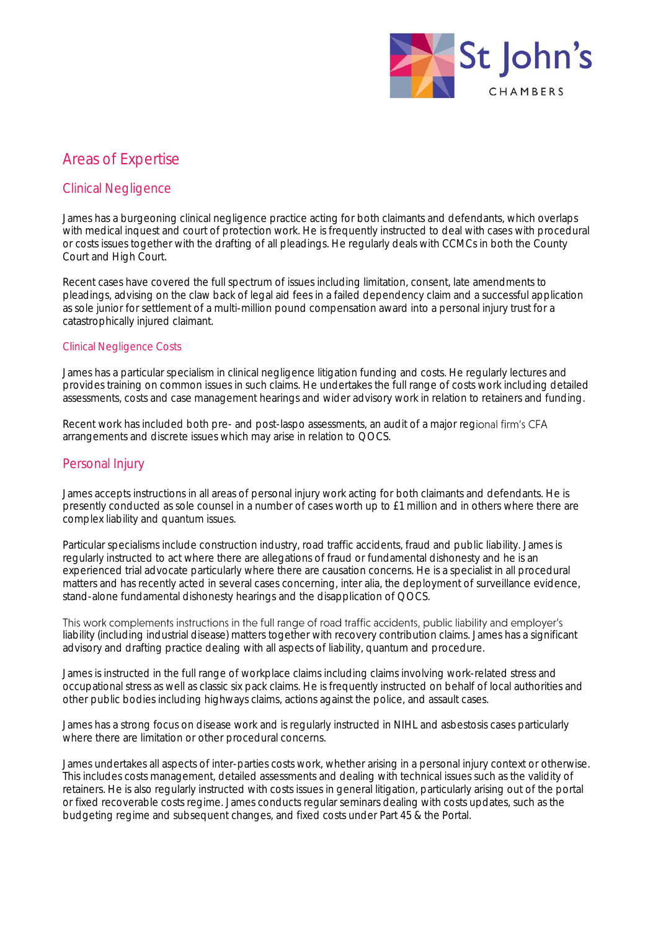

# Areas of Expertise

## Clinical Negligence

James has a burgeoning clinical negligence practice acting for both claimants and defendants, which overlaps with medical inquest and court of protection work. He is frequently instructed to deal with cases with procedural or costs issues together with the drafting of all pleadings. He regularly deals with CCMCs in both the County Court and High Court.

Recent cases have covered the full spectrum of issues including limitation, consent, late amendments to pleadings, advising on the claw back of legal aid fees in a failed dependency claim and a successful application as sole junior for settlement of a multi-million pound compensation award into a personal injury trust for a catastrophically injured claimant.

#### Clinical Negligence Costs

James has a particular specialism in clinical negligence litigation funding and costs. He regularly lectures and provides training on common issues in such claims. He undertakes the full range of costs work including detailed assessments, costs and case management hearings and wider advisory work in relation to retainers and funding.

Recent work has included both pre- and post-laspo assessments, an audit of a major regional firm's CFA arrangements and discrete issues which may arise in relation to QOCS.

### Personal Injury

James accepts instructions in all areas of personal injury work acting for both claimants and defendants. He is presently conducted as sole counsel in a number of cases worth up to £1 million and in others where there are complex liability and quantum issues.

Particular specialisms include construction industry, road traffic accidents, fraud and public liability. James is regularly instructed to act where there are allegations of fraud or fundamental dishonesty and he is an experienced trial advocate particularly where there are causation concerns. He is a specialist in all procedural matters and has recently acted in several cases concerning, inter alia, the deployment of surveillance evidence, stand-alone fundamental dishonesty hearings and the disapplication of QOCS.

This work complements instructions in the full range of road traffic accidents, public liability and employer's liability (including industrial disease) matters together with recovery contribution claims. James has a significant advisory and drafting practice dealing with all aspects of liability, quantum and procedure.

James is instructed in the full range of workplace claims including claims involving work-related stress and occupational stress as well as classic six pack claims. He is frequently instructed on behalf of local authorities and other public bodies including highways claims, actions against the police, and assault cases.

James has a strong focus on disease work and is regularly instructed in NIHL and asbestosis cases particularly where there are limitation or other procedural concerns.

James undertakes all aspects of inter-parties costs work, whether arising in a personal injury context or otherwise. This includes costs management, detailed assessments and dealing with technical issues such as the validity of retainers. He is also regularly instructed with costs issues in general litigation, particularly arising out of the portal or fixed recoverable costs regime. James conducts regular seminars dealing with costs updates, such as the budgeting regime and subsequent changes, and fixed costs under Part 45 & the Portal.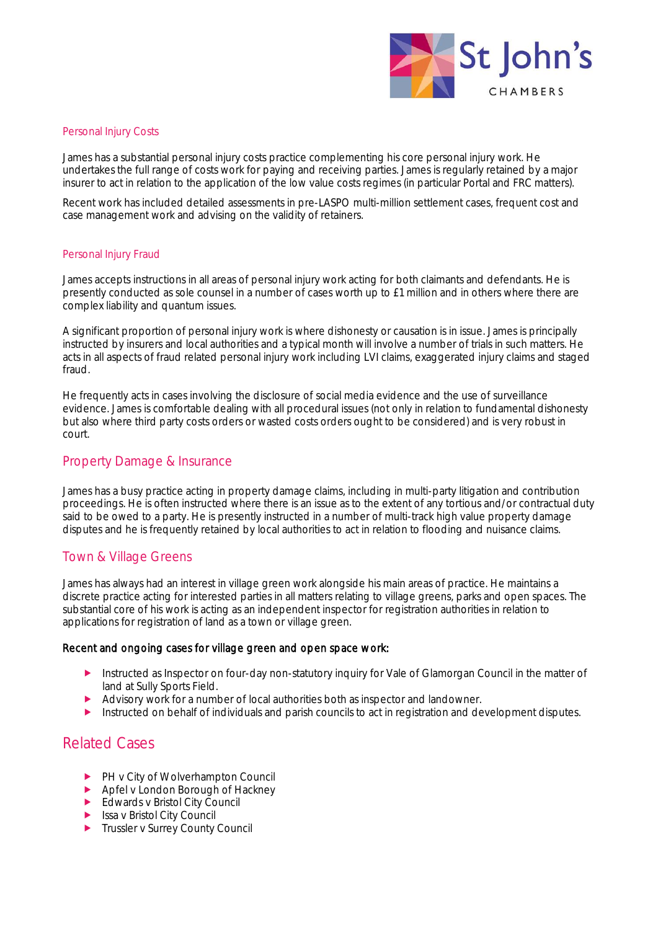

#### Personal Injury Costs

James has a substantial personal injury costs practice complementing his core personal injury work. He undertakes the full range of costs work for paying and receiving parties. James is regularly retained by a major insurer to act in relation to the application of the low value costs regimes (in particular Portal and FRC matters).

Recent work has included detailed assessments in pre-LASPO multi-million settlement cases, frequent cost and case management work and advising on the validity of retainers.

#### Personal Injury Fraud

James accepts instructions in all areas of personal injury work acting for both claimants and defendants. He is presently conducted as sole counsel in a number of cases worth up to £1 million and in others where there are complex liability and quantum issues.

A significant proportion of personal injury work is where dishonesty or causation is in issue. James is principally instructed by insurers and local authorities and a typical month will involve a number of trials in such matters. He acts in all aspects of fraud related personal injury work including LVI claims, exaggerated injury claims and staged fraud.

He frequently acts in cases involving the disclosure of social media evidence and the use of surveillance evidence. James is comfortable dealing with all procedural issues (not only in relation to fundamental dishonesty but also where third party costs orders or wasted costs orders ought to be considered) and is very robust in court.

### Property Damage & Insurance

James has a busy practice acting in property damage claims, including in multi-party litigation and contribution proceedings. He is often instructed where there is an issue as to the extent of any tortious and/or contractual duty said to be owed to a party. He is presently instructed in a number of multi-track high value property damage disputes and he is frequently retained by local authorities to act in relation to flooding and nuisance claims.

### Town & Village Greens

James has always had an interest in village green work alongside his main areas of practice. He maintains a discrete practice acting for interested parties in all matters relating to village greens, parks and open spaces. The substantial core of his work is acting as an independent inspector for registration authorities in relation to applications for registration of land as a town or village green.

#### Recent and ongoing cases for village green and open space work:

- Instructed as Inspector on four-day non-statutory inquiry for Vale of Glamorgan Council in the matter of land at Sully Sports Field.
- Advisory work for a number of local authorities both as inspector and landowner.
- Instructed on behalf of individuals and parish councils to act in registration and development disputes.

## Related Cases

- PH v City of Wolverhampton Council
- Apfel v London Borough of Hackney
- Edwards v Bristol City Council
- $\blacktriangleright$  Issa v Bristol City Council
- **Trussler v Surrey County Council**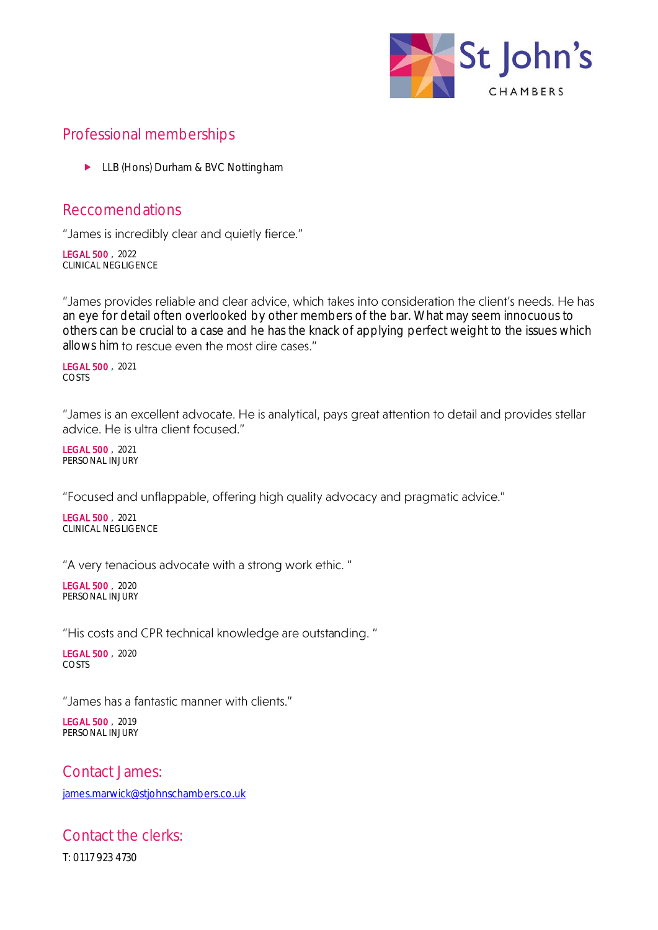

# Professional memberships

► LLB (Hons) Durham & BVC Nottingham

## Reccomendations

"James is incredibly clear and quietly fierce."

LEGAL 500 , 2022 CLINICAL NEGLIGENCE

"James provides reliable and clear advice, which takes into consideration the client's needs. He has an eye for detail often overlooked by other members of the bar. What may seem innocuous to others can be crucial to a case and he has the knack of applying perfect weight to the issues which allows him to rescue even the most dire cases."

LEGAL 500 , 2021 COSTS

"James is an excellent advocate. He is analytical, pays great attention to detail and provides stellar advice. He is ultra client focused."

LEGAL 500 , 2021 PERSONAL INJURY

"Focused and unflappable, offering high quality advocacy and pragmatic advice."

LEGAL 500 , 2021 CLINICAL NEGLIGENCE

"A very tenacious advocate with a strong work ethic."

LEGAL 500 , 2020 PERSONAL INJURY

"His costs and CPR technical knowledge are outstanding."

LEGAL 500 , 2020 COSTS

"James has a fantastic manner with clients."

LEGAL 500 , 2019 PERSONAL INJURY

Contact James: [james.marwick@stjohnschambers.co.uk](mailto:james.marwick@stjohnschambers.co.uk)

Contact the clerks: T: 0117 923 4730